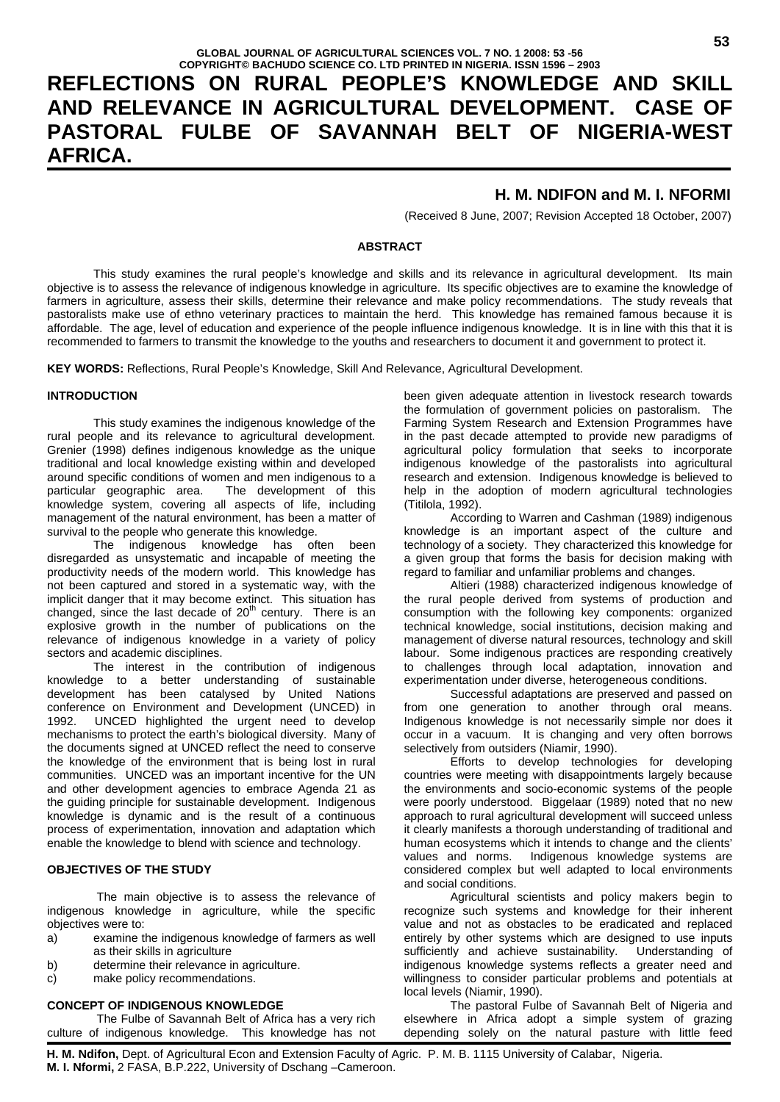# **REFLECTIONS ON RURAL PEOPLE'S KNOWLEDGE AND SKILL AND RELEVANCE IN AGRICULTURAL DEVELOPMENT. CASE OF PASTORAL FULBE OF SAVANNAH BELT OF NIGERIA-WEST AFRICA.**

## **H. M. NDIFON and M. I. NFORMI**

(Received 8 June, 2007; Revision Accepted 18 October, 2007)

## **ABSTRACT**

 This study examines the rural people's knowledge and skills and its relevance in agricultural development. Its main objective is to assess the relevance of indigenous knowledge in agriculture. Its specific objectives are to examine the knowledge of farmers in agriculture, assess their skills, determine their relevance and make policy recommendations. The study reveals that pastoralists make use of ethno veterinary practices to maintain the herd. This knowledge has remained famous because it is affordable. The age, level of education and experience of the people influence indigenous knowledge. It is in line with this that it is recommended to farmers to transmit the knowledge to the youths and researchers to document it and government to protect it.

**KEY WORDS:** Reflections, Rural People's Knowledge, Skill And Relevance, Agricultural Development.

#### **INTRODUCTION**

 This study examines the indigenous knowledge of the rural people and its relevance to agricultural development. Grenier (1998) defines indigenous knowledge as the unique traditional and local knowledge existing within and developed around specific conditions of women and men indigenous to a particular geographic area. knowledge system, covering all aspects of life, including management of the natural environment, has been a matter of survival to the people who generate this knowledge.

 The indigenous knowledge has often been disregarded as unsystematic and incapable of meeting the productivity needs of the modern world. This knowledge has not been captured and stored in a systematic way, with the implicit danger that it may become extinct. This situation has changed, since the last decade of  $20<sup>th</sup>$  century. There is an explosive growth in the number of publications on the relevance of indigenous knowledge in a variety of policy sectors and academic disciplines.

 The interest in the contribution of indigenous knowledge to a better understanding of sustainable development has been catalysed by United Nations conference on Environment and Development (UNCED) in 1992. UNCED highlighted the urgent need to develop mechanisms to protect the earth's biological diversity. Many of the documents signed at UNCED reflect the need to conserve the knowledge of the environment that is being lost in rural communities. UNCED was an important incentive for the UN and other development agencies to embrace Agenda 21 as the guiding principle for sustainable development. Indigenous knowledge is dynamic and is the result of a continuous process of experimentation, innovation and adaptation which enable the knowledge to blend with science and technology.

## **OBJECTIVES OF THE STUDY**

 The main objective is to assess the relevance of indigenous knowledge in agriculture, while the specific objectives were to:

- a) examine the indigenous knowledge of farmers as well as their skills in agriculture
- b) determine their relevance in agriculture.
- c) make policy recommendations.

## **CONCEPT OF INDIGENOUS KNOWLEDGE**

 The Fulbe of Savannah Belt of Africa has a very rich culture of indigenous knowledge. This knowledge has not been given adequate attention in livestock research towards the formulation of government policies on pastoralism. The Farming System Research and Extension Programmes have in the past decade attempted to provide new paradigms of agricultural policy formulation that seeks to incorporate indigenous knowledge of the pastoralists into agricultural research and extension. Indigenous knowledge is believed to help in the adoption of modern agricultural technologies (Titilola, 1992).

 According to Warren and Cashman (1989) indigenous knowledge is an important aspect of the culture and technology of a society. They characterized this knowledge for a given group that forms the basis for decision making with regard to familiar and unfamiliar problems and changes.

 Altieri (1988) characterized indigenous knowledge of the rural people derived from systems of production and consumption with the following key components: organized technical knowledge, social institutions, decision making and management of diverse natural resources, technology and skill labour. Some indigenous practices are responding creatively to challenges through local adaptation, innovation and experimentation under diverse, heterogeneous conditions.

 Successful adaptations are preserved and passed on from one generation to another through oral means. Indigenous knowledge is not necessarily simple nor does it occur in a vacuum. It is changing and very often borrows selectively from outsiders (Niamir, 1990).

 Efforts to develop technologies for developing countries were meeting with disappointments largely because the environments and socio-economic systems of the people were poorly understood. Biggelaar (1989) noted that no new approach to rural agricultural development will succeed unless it clearly manifests a thorough understanding of traditional and human ecosystems which it intends to change and the clients' values and norms. Indigenous knowledge systems are considered complex but well adapted to local environments and social conditions.

 Agricultural scientists and policy makers begin to recognize such systems and knowledge for their inherent value and not as obstacles to be eradicated and replaced entirely by other systems which are designed to use inputs sufficiently and achieve sustainability. Understanding of indigenous knowledge systems reflects a greater need and willingness to consider particular problems and potentials at local levels (Niamir, 1990).

 The pastoral Fulbe of Savannah Belt of Nigeria and elsewhere in Africa adopt a simple system of grazing depending solely on the natural pasture with little feed

**H. M. Ndifon,** Dept. of Agricultural Econ and Extension Faculty of Agric. P. M. B. 1115 University of Calabar, Nigeria. **M. I. Nformi,** 2 FASA, B.P.222, University of Dschang –Cameroon.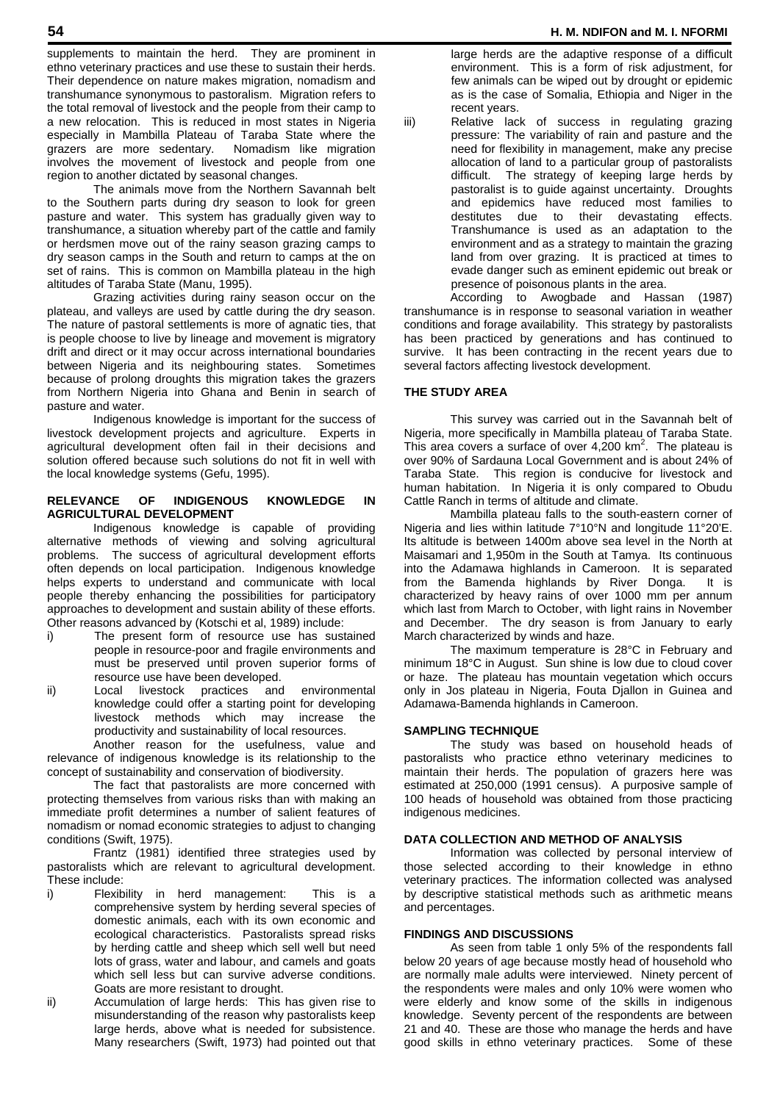supplements to maintain the herd. They are prominent in ethno veterinary practices and use these to sustain their herds. Their dependence on nature makes migration, nomadism and transhumance synonymous to pastoralism. Migration refers to the total removal of livestock and the people from their camp to a new relocation. This is reduced in most states in Nigeria especially in Mambilla Plateau of Taraba State where the grazers are more sedentary. Nomadism like migration involves the movement of livestock and people from one region to another dictated by seasonal changes.

 The animals move from the Northern Savannah belt to the Southern parts during dry season to look for green pasture and water. This system has gradually given way to transhumance, a situation whereby part of the cattle and family or herdsmen move out of the rainy season grazing camps to dry season camps in the South and return to camps at the on set of rains. This is common on Mambilla plateau in the high altitudes of Taraba State (Manu, 1995).

 Grazing activities during rainy season occur on the plateau, and valleys are used by cattle during the dry season. The nature of pastoral settlements is more of agnatic ties, that is people choose to live by lineage and movement is migratory drift and direct or it may occur across international boundaries between Nigeria and its neighbouring states. Sometimes because of prolong droughts this migration takes the grazers from Northern Nigeria into Ghana and Benin in search of pasture and water.

 Indigenous knowledge is important for the success of livestock development projects and agriculture. Experts in agricultural development often fail in their decisions and solution offered because such solutions do not fit in well with the local knowledge systems (Gefu, 1995).

#### **RELEVANCE OF INDIGENOUS KNOWLEDGE IN AGRICULTURAL DEVELOPMENT**

 Indigenous knowledge is capable of providing alternative methods of viewing and solving agricultural problems. The success of agricultural development efforts often depends on local participation. Indigenous knowledge helps experts to understand and communicate with local people thereby enhancing the possibilities for participatory approaches to development and sustain ability of these efforts. Other reasons advanced by (Kotschi et al, 1989) include:

- i) The present form of resource use has sustained people in resource-poor and fragile environments and must be preserved until proven superior forms of resource use have been developed.
- ii) Local livestock practices and environmental knowledge could offer a starting point for developing livestock methods which may increase the productivity and sustainability of local resources.

 Another reason for the usefulness, value and relevance of indigenous knowledge is its relationship to the concept of sustainability and conservation of biodiversity.

 The fact that pastoralists are more concerned with protecting themselves from various risks than with making an immediate profit determines a number of salient features of nomadism or nomad economic strategies to adjust to changing conditions (Swift, 1975).

 Frantz (1981) identified three strategies used by pastoralists which are relevant to agricultural development. These include:

- i) Flexibility in herd management: This is a comprehensive system by herding several species of domestic animals, each with its own economic and ecological characteristics. Pastoralists spread risks by herding cattle and sheep which sell well but need lots of grass, water and labour, and camels and goats which sell less but can survive adverse conditions. Goats are more resistant to drought.
- ii) Accumulation of large herds: This has given rise to misunderstanding of the reason why pastoralists keep large herds, above what is needed for subsistence. Many researchers (Swift, 1973) had pointed out that

 large herds are the adaptive response of a difficult environment. This is a form of risk adjustment, for few animals can be wiped out by drought or epidemic as is the case of Somalia, Ethiopia and Niger in the recent years.

iii) Relative lack of success in regulating grazing pressure: The variability of rain and pasture and the need for flexibility in management, make any precise allocation of land to a particular group of pastoralists difficult. The strategy of keeping large herds by pastoralist is to guide against uncertainty. Droughts and epidemics have reduced most families to destitutes due to their devastating effects. Transhumance is used as an adaptation to the environment and as a strategy to maintain the grazing land from over grazing. It is practiced at times to evade danger such as eminent epidemic out break or presence of poisonous plants in the area.

 According to Awogbade and Hassan (1987) transhumance is in response to seasonal variation in weather conditions and forage availability. This strategy by pastoralists has been practiced by generations and has continued to survive. It has been contracting in the recent years due to several factors affecting livestock development.

## **THE STUDY AREA**

 This survey was carried out in the Savannah belt of Nigeria, more specifically in Mambilla plateau of Taraba State. This area covers a surface of over  $4,200$  km<sup>2</sup>. The plateau is over 90% of Sardauna Local Government and is about 24% of Taraba State. This region is conducive for livestock and human habitation. In Nigeria it is only compared to Obudu Cattle Ranch in terms of altitude and climate.

 Mambilla plateau falls to the south-eastern corner of Nigeria and lies within latitude 7°10°N and longitude 11°20'E. Its altitude is between 1400m above sea level in the North at Maisamari and 1,950m in the South at Tamya. Its continuous into the Adamawa highlands in Cameroon. It is separated from the Bamenda highlands by River Donga. It is characterized by heavy rains of over 1000 mm per annum which last from March to October, with light rains in November and December. The dry season is from January to early March characterized by winds and haze.

 The maximum temperature is 28°C in February and minimum 18°C in August. Sun shine is low due to cloud cover or haze. The plateau has mountain vegetation which occurs only in Jos plateau in Nigeria, Fouta Djallon in Guinea and Adamawa-Bamenda highlands in Cameroon.

## **SAMPLING TECHNIQUE**

 The study was based on household heads of pastoralists who practice ethno veterinary medicines to maintain their herds. The population of grazers here was estimated at 250,000 (1991 census). A purposive sample of 100 heads of household was obtained from those practicing indigenous medicines.

## **DATA COLLECTION AND METHOD OF ANALYSIS**

 Information was collected by personal interview of those selected according to their knowledge in ethno veterinary practices. The information collected was analysed by descriptive statistical methods such as arithmetic means and percentages.

## **FINDINGS AND DISCUSSIONS**

 As seen from table 1 only 5% of the respondents fall below 20 years of age because mostly head of household who are normally male adults were interviewed. Ninety percent of the respondents were males and only 10% were women who were elderly and know some of the skills in indigenous knowledge. Seventy percent of the respondents are between 21 and 40. These are those who manage the herds and have good skills in ethno veterinary practices. Some of these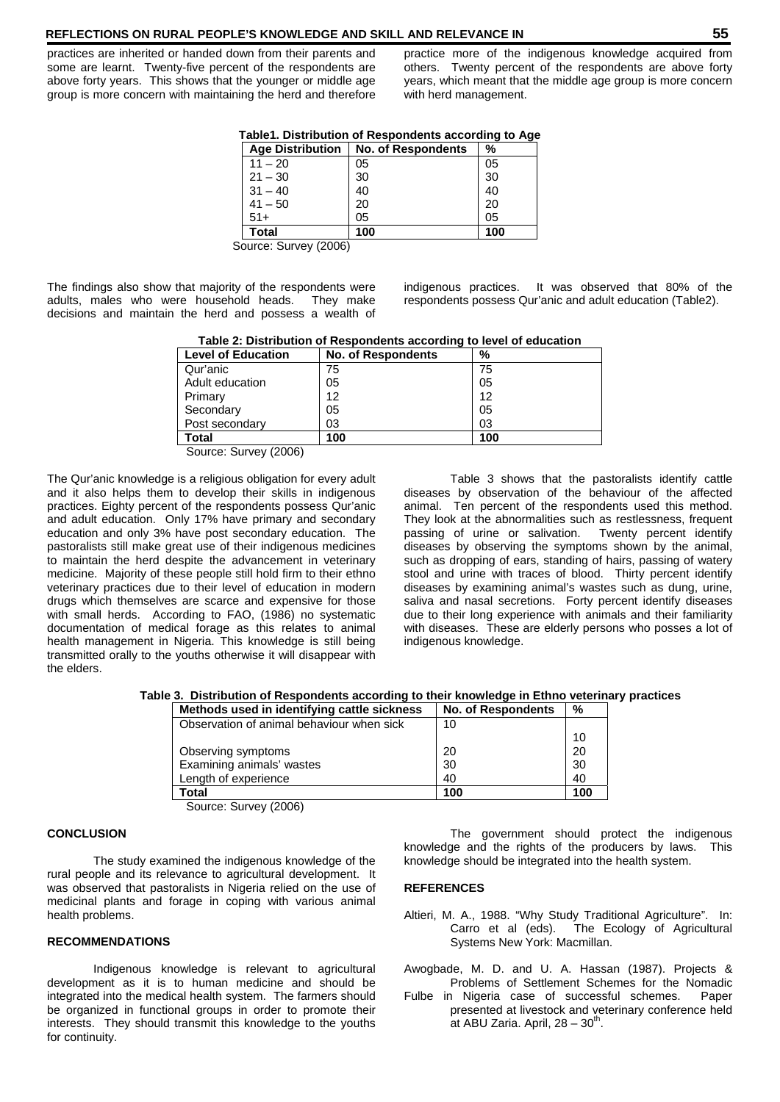## **REFLECTIONS ON RURAL PEOPLE'S KNOWLEDGE AND SKILL AND RELEVANCE IN 55**

practices are inherited or handed down from their parents and some are learnt. Twenty-five percent of the respondents are above forty years. This shows that the younger or middle age group is more concern with maintaining the herd and therefore

practice more of the indigenous knowledge acquired from others. Twenty percent of the respondents are above forty years, which meant that the middle age group is more concern with herd management.

| Table1. Distribution of Respondents according to Age |           |                                       |    |  |  |  |
|------------------------------------------------------|-----------|---------------------------------------|----|--|--|--|
|                                                      |           | Age Distribution   No. of Respondents | %  |  |  |  |
|                                                      | $11 - 20$ | 05                                    | 05 |  |  |  |
|                                                      | $21 - 30$ | 30                                    | 30 |  |  |  |
|                                                      | $31 - 40$ | 40                                    | 40 |  |  |  |
|                                                      | $41 - 50$ | 20                                    | 20 |  |  |  |

05

**Total 100 100** 

Source: Survey (2006)

51+

The findings also show that majority of the respondents were adults, males who were household heads. They make decisions and maintain the herd and possess a wealth of

indigenous practices. It was observed that 80% of the respondents possess Qur'anic and adult education (Table2).

05

**Table 2: Distribution of Respondents according to level of education** 

| <b>Level of Education</b> | <b>No. of Respondents</b> | %   |  |  |
|---------------------------|---------------------------|-----|--|--|
| Qur'anic                  | 75                        | 75  |  |  |
| Adult education           | 05                        | 05  |  |  |
| Primary                   | 12                        | 12  |  |  |
| Secondary                 | 05                        | 05  |  |  |
| Post secondary            | 03                        | 03  |  |  |
| <b>Total</b>              | 100                       | 100 |  |  |
| Course Cunion (2000)      |                           |     |  |  |

Source: Survey (2006)

The Qur'anic knowledge is a religious obligation for every adult and it also helps them to develop their skills in indigenous practices. Eighty percent of the respondents possess Qur'anic and adult education. Only 17% have primary and secondary education and only 3% have post secondary education. The pastoralists still make great use of their indigenous medicines to maintain the herd despite the advancement in veterinary medicine. Majority of these people still hold firm to their ethno veterinary practices due to their level of education in modern drugs which themselves are scarce and expensive for those with small herds. According to FAO, (1986) no systematic documentation of medical forage as this relates to animal health management in Nigeria. This knowledge is still being transmitted orally to the youths otherwise it will disappear with the elders.

 Table 3 shows that the pastoralists identify cattle diseases by observation of the behaviour of the affected animal. Ten percent of the respondents used this method. They look at the abnormalities such as restlessness, frequent passing of urine or salivation. Twenty percent identify diseases by observing the symptoms shown by the animal, such as dropping of ears, standing of hairs, passing of watery stool and urine with traces of blood. Thirty percent identify diseases by examining animal's wastes such as dung, urine, saliva and nasal secretions. Forty percent identify diseases due to their long experience with animals and their familiarity with diseases. These are elderly persons who posses a lot of indigenous knowledge.

 **Table 3. Distribution of Respondents according to their knowledge in Ethno veterinary practices** 

| Methods used in identifying cattle sickness | <b>No. of Respondents</b> | %   |
|---------------------------------------------|---------------------------|-----|
| Observation of animal behaviour when sick   | 10                        |     |
|                                             |                           | 10  |
| Observing symptoms                          | 20                        | 20  |
| Examining animals' wastes                   | 30                        | 30  |
| Length of experience                        | 40                        | 40  |
| <b>Total</b>                                | 100                       | 100 |

Source: Survey (2006)

#### **CONCLUSION**

 The study examined the indigenous knowledge of the rural people and its relevance to agricultural development. It was observed that pastoralists in Nigeria relied on the use of medicinal plants and forage in coping with various animal health problems.

## **RECOMMENDATIONS**

 Indigenous knowledge is relevant to agricultural development as it is to human medicine and should be integrated into the medical health system. The farmers should be organized in functional groups in order to promote their interests. They should transmit this knowledge to the youths for continuity.

 The government should protect the indigenous knowledge and the rights of the producers by laws. This knowledge should be integrated into the health system.

#### **REFERENCES**

Altieri, M. A., 1988. "Why Study Traditional Agriculture". In: Carro et al (eds). The Ecology of Agricultural Systems New York: Macmillan.

Awogbade, M. D. and U. A. Hassan (1987). Projects & Problems of Settlement Schemes for the Nomadic

Fulbe in Nigeria case of successful schemes. Paper presented at livestock and veterinary conference held at ABU Zaria. April,  $28 - 30<sup>th</sup>$ .